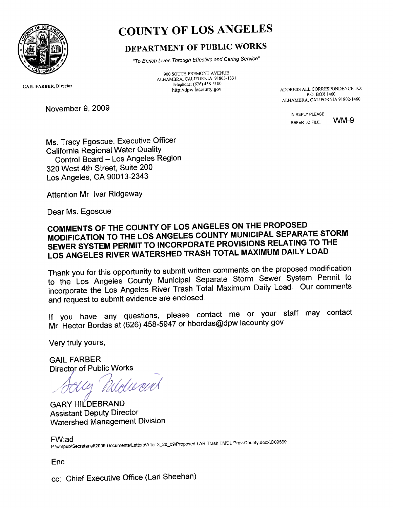

# **COUNTY OF LOS ANGELES**

## DEPARTMENT OF PUBLIC WORKS

*"To Enrich Lives Through Effective and Caring Service"*

900 SOUTH FREMONT AVENUE ALHAMBRA, CALIFORNIA 91803-1331 Telephone: (626)458-5100

**GAIL FARBER, Director**

November 9, 2009

http://dpw.lacounty.gov ADDRESS ALL CORRESPONDENCE TO: O. BOA 1400<br>OUTEODITA ALHAMBRA, CALIFORNIA 91802-1460

> IN REPLY PLEASE REFER TO FILE WM-9

Ms. Tracy Egoscue, Executive Officer California Regional Water Quality Control Board — Los Angeles Region 320 West 4th Street, Suite 200 Los Angeles, CA 90013-2343

Attention Mr. Ivar Ridgeway

Dear Ms. Egoscue:

### **COMMENTS OF THE COUNTY OF LOS ANGELES ON THE PROPOSED MODIFICATION TO THE LOS ANGELES COUNTY MUNICIPAL SEPARATE STORM SEWER SYSTEM PERMIT TO INCORPORATE PROVISIONS RELATING TO THE LOS ANGELES RIVER WATERSHED TRASH TOTAL MAXIMUM DAILY LOAD**

Thank you for this opportunity to submit written comments on the proposed modification to the Los Angeles County Municipal Separate Storm Sewer System Permit to incorporate the Los Angeles River Trash Total Maximum Daily Load. Our comments and request to submit evidence are enclosed.

If you have any questions, please contact me or your staff may contact Mr<sup>1</sup>Hector Bordas at (626) 458-5947 or hbordas@dpw lacounty.gov

Very truly yours,

GAIL FARBER Director of Public Works

'elwein

**GARY HILDEBRAND** Assistant Deputy Director Watershed Management Division

FW:ad P:\wmpub\Secretarial\2009 Documents\Letters\After 3\_20\_09\Proposed LAR Trash TMDL Prov-County.docx\C09569

Enc.

cc: Chief Executive Office (Lari Sheehan)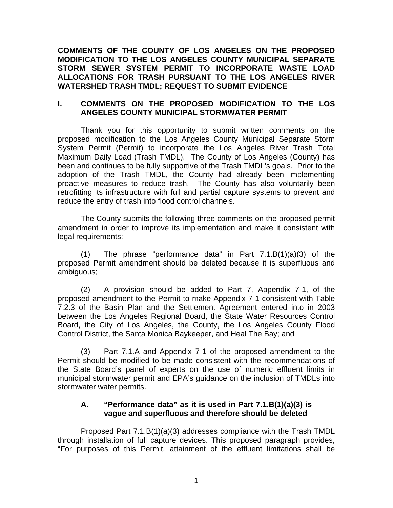**COMMENTS OF THE COUNTY OF LOS ANGELES ON THE PROPOSED MODIFICATION TO THE LOS ANGELES COUNTY MUNICIPAL SEPARATE STORM SEWER SYSTEM PERMIT TO INCORPORATE WASTE LOAD ALLOCATIONS FOR TRASH PURSUANT TO THE LOS ANGELES RIVER WATERSHED TRASH TMDL; REQUEST TO SUBMIT EVIDENCE** 

#### **I. COMMENTS ON THE PROPOSED MODIFICATION TO THE LOS ANGELES COUNTY MUNICIPAL STORMWATER PERMIT**

Thank you for this opportunity to submit written comments on the proposed modification to the Los Angeles County Municipal Separate Storm System Permit (Permit) to incorporate the Los Angeles River Trash Total Maximum Daily Load (Trash TMDL). The County of Los Angeles (County) has been and continues to be fully supportive of the Trash TMDL's goals. Prior to the adoption of the Trash TMDL, the County had already been implementing proactive measures to reduce trash. The County has also voluntarily been retrofitting its infrastructure with full and partial capture systems to prevent and reduce the entry of trash into flood control channels.

 The County submits the following three comments on the proposed permit amendment in order to improve its implementation and make it consistent with legal requirements:

 (1) The phrase "performance data" in Part 7.1.B(1)(a)(3) of the proposed Permit amendment should be deleted because it is superfluous and ambiguous;

 (2) A provision should be added to Part 7, Appendix 7-1, of the proposed amendment to the Permit to make Appendix 7-1 consistent with Table 7.2.3 of the Basin Plan and the Settlement Agreement entered into in 2003 between the Los Angeles Regional Board, the State Water Resources Control Board, the City of Los Angeles, the County, the Los Angeles County Flood Control District, the Santa Monica Baykeeper, and Heal The Bay; and

 (3) Part 7.1.A and Appendix 7-1 of the proposed amendment to the Permit should be modified to be made consistent with the recommendations of the State Board's panel of experts on the use of numeric effluent limits in municipal stormwater permit and EPA's guidance on the inclusion of TMDLs into stormwater water permits.

#### **A. "Performance data" as it is used in Part 7.1.B(1)(a)(3) is vague and superfluous and therefore should be deleted**

Proposed Part 7.1.B(1)(a)(3) addresses compliance with the Trash TMDL through installation of full capture devices. This proposed paragraph provides, "For purposes of this Permit, attainment of the effluent limitations shall be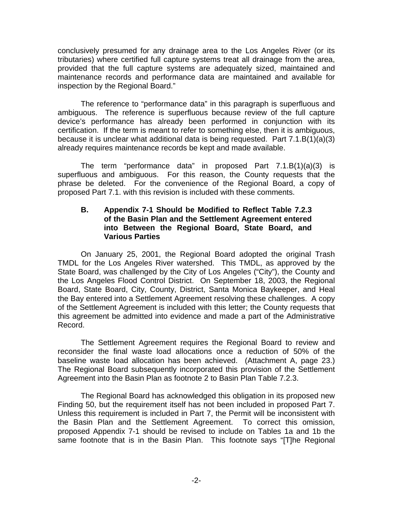conclusively presumed for any drainage area to the Los Angeles River (or its tributaries) where certified full capture systems treat all drainage from the area, provided that the full capture systems are adequately sized, maintained and maintenance records and performance data are maintained and available for inspection by the Regional Board."

 The reference to "performance data" in this paragraph is superfluous and ambiguous. The reference is superfluous because review of the full capture device's performance has already been performed in conjunction with its certification. If the term is meant to refer to something else, then it is ambiguous, because it is unclear what additional data is being requested. Part 7.1.B(1)(a)(3) already requires maintenance records be kept and made available.

 The term "performance data" in proposed Part 7.1.B(1)(a)(3) is superfluous and ambiguous. For this reason, the County requests that the phrase be deleted. For the convenience of the Regional Board, a copy of proposed Part 7.1. with this revision is included with these comments.

#### **B. Appendix 7-1 Should be Modified to Reflect Table 7.2.3 of the Basin Plan and the Settlement Agreement entered into Between the Regional Board, State Board, and Various Parties**

 On January 25, 2001, the Regional Board adopted the original Trash TMDL for the Los Angeles River watershed. This TMDL, as approved by the State Board, was challenged by the City of Los Angeles ("City"), the County and the Los Angeles Flood Control District. On September 18, 2003, the Regional Board, State Board, City, County, District, Santa Monica Baykeeper, and Heal the Bay entered into a Settlement Agreement resolving these challenges. A copy of the Settlement Agreement is included with this letter; the County requests that this agreement be admitted into evidence and made a part of the Administrative Record.

The Settlement Agreement requires the Regional Board to review and reconsider the final waste load allocations once a reduction of 50% of the baseline waste load allocation has been achieved. (Attachment A, page 23.) The Regional Board subsequently incorporated this provision of the Settlement Agreement into the Basin Plan as footnote 2 to Basin Plan Table 7.2.3.

The Regional Board has acknowledged this obligation in its proposed new Finding 50, but the requirement itself has not been included in proposed Part 7. Unless this requirement is included in Part 7, the Permit will be inconsistent with the Basin Plan and the Settlement Agreement. To correct this omission, proposed Appendix 7-1 should be revised to include on Tables 1a and 1b the same footnote that is in the Basin Plan. This footnote says "[T]he Regional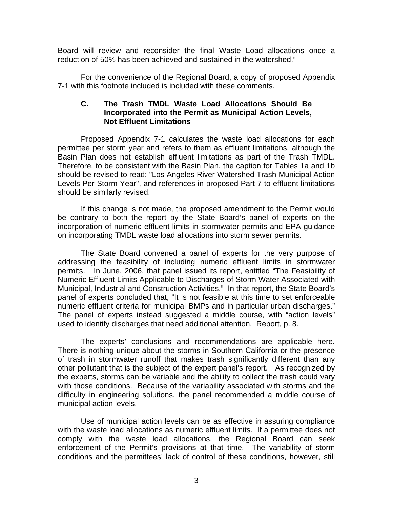Board will review and reconsider the final Waste Load allocations once a reduction of 50% has been achieved and sustained in the watershed."

For the convenience of the Regional Board, a copy of proposed Appendix 7-1 with this footnote included is included with these comments.

#### **C. The Trash TMDL Waste Load Allocations Should Be Incorporated into the Permit as Municipal Action Levels, Not Effluent Limitations**

Proposed Appendix 7-1 calculates the waste load allocations for each permittee per storm year and refers to them as effluent limitations, although the Basin Plan does not establish effluent limitations as part of the Trash TMDL. Therefore, to be consistent with the Basin Plan, the caption for Tables 1a and 1b should be revised to read: "Los Angeles River Watershed Trash Municipal Action Levels Per Storm Year", and references in proposed Part 7 to effluent limitations should be similarly revised.

If this change is not made, the proposed amendment to the Permit would be contrary to both the report by the State Board's panel of experts on the incorporation of numeric effluent limits in stormwater permits and EPA guidance on incorporating TMDL waste load allocations into storm sewer permits.

The State Board convened a panel of experts for the very purpose of addressing the feasibility of including numeric effluent limits in stormwater permits. In June, 2006, that panel issued its report, entitled "The Feasibility of Numeric Effluent Limits Applicable to Discharges of Storm Water Associated with Municipal, Industrial and Construction Activities." In that report, the State Board's panel of experts concluded that, "It is not feasible at this time to set enforceable numeric effluent criteria for municipal BMPs and in particular urban discharges." The panel of experts instead suggested a middle course, with "action levels" used to identify discharges that need additional attention. Report, p. 8.

The experts' conclusions and recommendations are applicable here. There is nothing unique about the storms in Southern California or the presence of trash in stormwater runoff that makes trash significantly different than any other pollutant that is the subject of the expert panel's report. As recognized by the experts, storms can be variable and the ability to collect the trash could vary with those conditions. Because of the variability associated with storms and the difficulty in engineering solutions, the panel recommended a middle course of municipal action levels.

Use of municipal action levels can be as effective in assuring compliance with the waste load allocations as numeric effluent limits. If a permittee does not comply with the waste load allocations, the Regional Board can seek enforcement of the Permit's provisions at that time. The variability of storm conditions and the permittees' lack of control of these conditions, however, still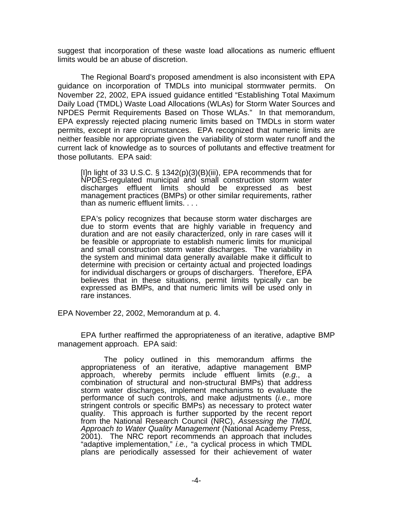suggest that incorporation of these waste load allocations as numeric effluent limits would be an abuse of discretion.

The Regional Board's proposed amendment is also inconsistent with EPA guidance on incorporation of TMDLs into municipal stormwater permits. On November 22, 2002, EPA issued guidance entitled "Establishing Total Maximum Daily Load (TMDL) Waste Load Allocations (WLAs) for Storm Water Sources and NPDES Permit Requirements Based on Those WLAs." In that memorandum, EPA expressly rejected placing numeric limits based on TMDLs in storm water permits, except in rare circumstances. EPA recognized that numeric limits are neither feasible nor appropriate given the variability of storm water runoff and the current lack of knowledge as to sources of pollutants and effective treatment for those pollutants. EPA said:

[I]n light of 33 U.S.C. § 1342(p)(3)(B)(iii), EPA recommends that for NPDES-regulated municipal and small construction storm water discharges effluent limits should be expressed as best management practices (BMPs) or other similar requirements, rather than as numeric effluent limits. . . .

EPA's policy recognizes that because storm water discharges are due to storm events that are highly variable in frequency and duration and are not easily characterized, only in rare cases will it be feasible or appropriate to establish numeric limits for municipal and small construction storm water discharges. The variability in the system and minimal data generally available make it difficult to determine with precision or certainty actual and projected loadings for individual dischargers or groups of dischargers. Therefore, EPA believes that in these situations, permit limits typically can be expressed as BMPs, and that numeric limits will be used only in rare instances.

EPA November 22, 2002, Memorandum at p. 4.

EPA further reaffirmed the appropriateness of an iterative, adaptive BMP management approach. EPA said:

The policy outlined in this memorandum affirms the appropriateness of an iterative, adaptive management BMP approach, whereby permits include effluent limits (*e.g*., a combination of structural and non-structural BMPs) that address storm water discharges, implement mechanisms to evaluate the performance of such controls, and make adjustments (*i.e.,* more stringent controls or specific BMPs) as necessary to protect water quality. This approach is further supported by the recent report from the National Research Council (NRC), *Assessing the TMDL Approach to Water Quality Management* (National Academy Press, 2001). The NRC report recommends an approach that includes "adaptive implementation," *i.e.,* "a cyclical process in which TMDL plans are periodically assessed for their achievement of water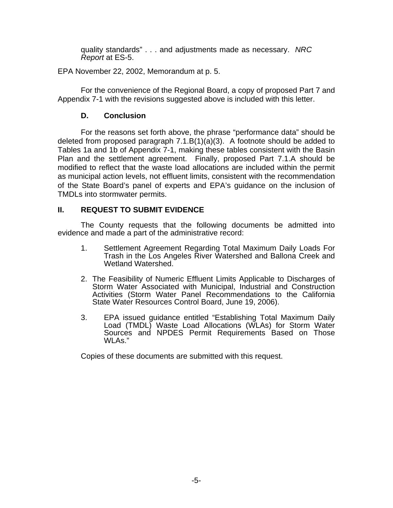quality standards" . . . and adjustments made as necessary. *NRC Report* at ES-5.

EPA November 22, 2002, Memorandum at p. 5.

For the convenience of the Regional Board, a copy of proposed Part 7 and Appendix 7-1 with the revisions suggested above is included with this letter.

#### **D. Conclusion**

For the reasons set forth above, the phrase "performance data" should be deleted from proposed paragraph 7.1.B(1)(a)(3). A footnote should be added to Tables 1a and 1b of Appendix 7-1, making these tables consistent with the Basin Plan and the settlement agreement. Finally, proposed Part 7.1.A should be modified to reflect that the waste load allocations are included within the permit as municipal action levels, not effluent limits, consistent with the recommendation of the State Board's panel of experts and EPA's guidance on the inclusion of TMDLs into stormwater permits.

#### **II. REQUEST TO SUBMIT EVIDENCE**

 The County requests that the following documents be admitted into evidence and made a part of the administrative record:

- 1. Settlement Agreement Regarding Total Maximum Daily Loads For Trash in the Los Angeles River Watershed and Ballona Creek and Wetland Watershed.
- 2. The Feasibility of Numeric Effluent Limits Applicable to Discharges of Storm Water Associated with Municipal, Industrial and Construction Activities (Storm Water Panel Recommendations to the California State Water Resources Control Board, June 19, 2006).
- 3. EPA issued guidance entitled "Establishing Total Maximum Daily Load (TMDL) Waste Load Allocations (WLAs) for Storm Water Sources and NPDES Permit Requirements Based on Those WLAs."

Copies of these documents are submitted with this request.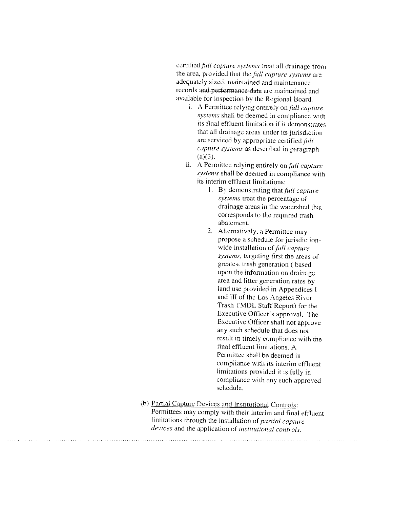certified *full capture systems* treat all drainage from the area, provided that the full capture systems are adequately sized, maintained and maintenance records and performance data are maintained and available for inspection by the Regional Board.

- i. A Permittee relying entirely on full capture systems shall be deemed in compliance with its final effluent limitation if it demonstrates that all drainage areas under its jurisdiction are serviced by appropriate certified full capture systems as described in paragraph  $(a)(3)$ .
- ii. A Permittee relying entirely on full capture systems shall be deemed in compliance with its interim effluent limitations:
	- 1. By demonstrating that full capture systems treat the percentage of drainage areas in the watershed that corresponds to the required trash abatement.
	- 2. Alternatively, a Permittee may propose a schedule for jurisdictionwide installation of full capture systems, targeting first the areas of greatest trash generation (based upon the information on drainage area and litter generation rates by land use provided in Appendices I and III of the Los Angeles River Trash TMDL Staff Report) for the Executive Officer's approval. The Executive Officer shall not approve any such schedule that does not result in timely compliance with the final effluent limitations. A Permittee shall be deemed in compliance with its interim effluent limitations provided it is fully in compliance with any such approved schedule.

#### (b) Partial Capture Devices and Institutional Controls: Permittees may comply with their interim and final effluent limitations through the installation of partial capture devices and the application of institutional controls.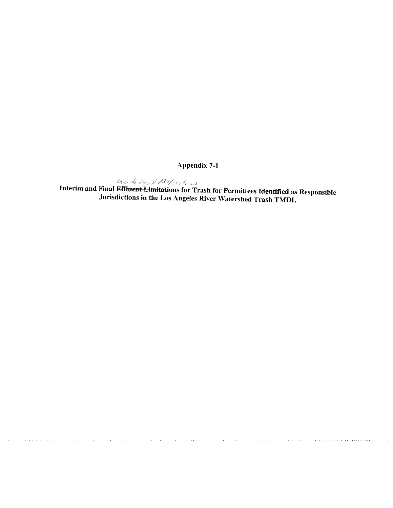Appendix 7-1

 $\omega_{\alpha}$ ,  $\beta$   $\beta$  is the set of  $\alpha$  and Final Effluent-Limitations for Trash for Permittees Identified as Responsible Jurisdictions in the Los Angeles River Watershed Trash TMDL

. . *. . . . . . . . . .* .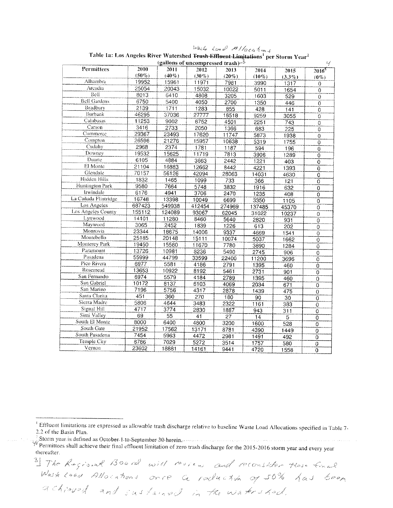|                      | иле та, коя тидется кого, массивоси <del>теами-енцент-вищино</del> ну рег могт хеат<br>(gallons of uncompressed trash)<br>$\mathcal{E}_{\mathcal{A}}$ |                 |          |          |          |           |                           |  |  |
|----------------------|-------------------------------------------------------------------------------------------------------------------------------------------------------|-----------------|----------|----------|----------|-----------|---------------------------|--|--|
| Permittees           | 2010                                                                                                                                                  | 2011            | 2012     | 2013     | 2014     | 2015      | $2016^{\circ}$            |  |  |
|                      | $(50\%)$                                                                                                                                              | $(40\%)$        | $(30\%)$ | $(20\%)$ | $(10\%)$ | $(3.3\%)$ | $(0\%)$                   |  |  |
| Alhambra             | 19952                                                                                                                                                 | 15961           | 11971    | 7981     | 3990     | 1317      | $\theta$                  |  |  |
| Arcadia              | 25054                                                                                                                                                 | 20043           | 15032    | 10022    | 5011     | 1654      | $\overline{0}$            |  |  |
| Bell                 | 8013                                                                                                                                                  | 6410            | 4808     | 3205     | 1603     | 529       | $\mathbf 0$               |  |  |
| <b>Bell Gardens</b>  | 6750                                                                                                                                                  | 5400            | 4050     | 2700     | 1350     | 446       | $\overline{0}$            |  |  |
| <b>Bradbury</b>      | 2139                                                                                                                                                  | 1711            | 1283     | 855      | 428      | 141       | 0                         |  |  |
| Burbank              | 46295                                                                                                                                                 | 37036           | 27777    | 18518    | 9259     | 3055      | $\overline{0}$            |  |  |
| Calabasas            | 11253                                                                                                                                                 | 9002            | 6752     | 4501     | 2251     | 743       | $\overline{0}$            |  |  |
| Carson               | 3416                                                                                                                                                  | 2733            | 2050     | 1366     | 683      | 225       | $\overline{0}$            |  |  |
| Commerce             | 29367                                                                                                                                                 | 23493           | 17620    | 11747    | 5873     | 1938      | $\pmb 0$                  |  |  |
| Compton              | 26596                                                                                                                                                 | 21276           | 15957    | 10638    | 5319     | 1755      | $\overline{0}$            |  |  |
| Cudahy               | 2968                                                                                                                                                  | 2374            | 1781     | 1187     | 594      | 196       | $\overline{0}$            |  |  |
| Downey               | 19532                                                                                                                                                 | 15625           | 11719    | 7813     | 3906     | 1289      | $\boldsymbol{0}$          |  |  |
| Duarte               | 6105                                                                                                                                                  | 4884            | 3663     | 2442     | 1221     | 403       | $\overline{O}$            |  |  |
| El Monte             | 21104                                                                                                                                                 | 16883           | 12662    | 8442     | 4221     | 1393      | 0                         |  |  |
| Glendale             | 70157                                                                                                                                                 | 56126           | 42094    | 28063    | 14031    | 4630      | $\overline{0}$            |  |  |
| Hidden Hills         | 1832                                                                                                                                                  | 1465            | 1099     | 733      | 366      | 121       | $\mathbf 0$               |  |  |
| Huntington Park      | 9580                                                                                                                                                  | 7664            | 5748     | 3832     | 1916     | 632       | 0                         |  |  |
| Irwindale            | 6176                                                                                                                                                  | 4941            | 3706     | 2470     | 1235     | 408       | $\overline{0}$            |  |  |
| La Cañada Flintridge | 16748                                                                                                                                                 | 13398           | 10049    | 6699     | 3350     | 1105      | $\overline{\mathfrak{o}}$ |  |  |
| Los Angeles          | 687423                                                                                                                                                | 549938          | 412454   | 274969   | 137485   | 45370     | 0                         |  |  |
| Los Angeles County   | 155112                                                                                                                                                | 124089          | 93067    | 62045    | 31022    | 10237     | $\overline{0}$            |  |  |
| Lynwood              | 14101                                                                                                                                                 | 11280           | 8460     | 5640     | 2820     | 931       | $\overline{0}$            |  |  |
| Maywood              | 3065                                                                                                                                                  | 2452            | 1839     | 1226     | 613      | 202       | 0                         |  |  |
| Monrovia             | 23344                                                                                                                                                 | 18675           | 14006    | 9337     | 4669     | 1541      | $\overline{0}$            |  |  |
| Montebello           | 25185                                                                                                                                                 | 20148           | 15111    | 10074    | 5037     | 1662      | $\overline{0}$            |  |  |
| Monterey Park        | 19450                                                                                                                                                 | 15560           | 11670    | 7780     | 3890     | 1284      | $\ddot{0}$                |  |  |
| Paramount            | 13726                                                                                                                                                 | 10981           | 8236     | 5490     | 2745     | 906       | $\overline{0}$            |  |  |
| Pasadena             | 55999                                                                                                                                                 | 44799           | 33599    | 22400    | 11200    | 3696      | $\overline{0}$            |  |  |
| Pico Rivera          | 6977                                                                                                                                                  | 5581            | 4186     | 2791     | 1395     | 460       | $\overline{0}$            |  |  |
| Rosemead             | 13653                                                                                                                                                 | 10922           | 8192     | 5461     | 2731     | 901       | $\overline{0}$            |  |  |
| San Fernando         | 6974                                                                                                                                                  | 5579            | 4184     | 2789     | 1395     | 460       | $\overline{0}$            |  |  |
| San Gabriel          | 10172                                                                                                                                                 | 8137            | 6103     | 4069     | 2034     | 671       | $\overline{0}$            |  |  |
| San Marino           | 7196                                                                                                                                                  | 5756            | 4317     | 2878     | 1439     | 475       | $\overline{\mathrm{o}}$   |  |  |
| Santa Clarita        | 451                                                                                                                                                   | 360             | 270      | 180      | 90       | 30        | 0                         |  |  |
| Sierra Madre         | 5806                                                                                                                                                  | 4644            | 3483     | 2322     | 1161     | 383       | $\overline{0}$            |  |  |
| Signal Hill          | 4717                                                                                                                                                  | 3774            | 2830     | 1887     | 943      | 311       | $\overline{\mathfrak{o}}$ |  |  |
| Simi Valley          | 69                                                                                                                                                    | $\overline{55}$ | 41       | 27       | 14       | 5         | $\mathbf 0$               |  |  |
| South El Monte       | 8000                                                                                                                                                  | 6400            | 4800     | 3200     | 1600     | 528       | $\overline{0}$            |  |  |
| South Gate           | 21952                                                                                                                                                 | 17562           | 13171    | 8781     | 4390     | 1449      | $\overline{0}$            |  |  |
| South Pasadena       | 7454                                                                                                                                                  | 5963            | 4472     | 2981     | 1491     | 492       | 0                         |  |  |
| Temple City          | 8786                                                                                                                                                  | 7029            | 5272     | 3514     | 1757     | 580       | $\overline{0}$            |  |  |
| Vemon                | 23602                                                                                                                                                 | 18881           | 14161    | 9441     | 4720     | 1558      | $\overline{\Omega}$       |  |  |

 $\frac{1}{2}$  from  $\beta$  //oce A  $_{\text{max}}$ <br>Table 1a: Los Angeles River Watershed Frash Effluent Limitations<sup>1</sup> no  $\mathbf{a}$  $\mathbf{r}$ 

<sup>1</sup> Effluent limitations are expressed as allowable trash discharge relative to baseline Waste Load Allocations specified in Table 7-2.2 of the Basin Plan.

Storm year is defined as October 1 to September 30 herein.<br>  $\frac{1}{\sqrt{2}}$ Storm year is defined as October 1 to September 30 herein.<br>
Permittees shall achieve their final effluent limitation of zero trash discharge for the thereafter.

3) The Rogianal Board with review and reconsider these funal Wash Loan Allocations once a rockection of 50% has been achieved and sustained in the watershed.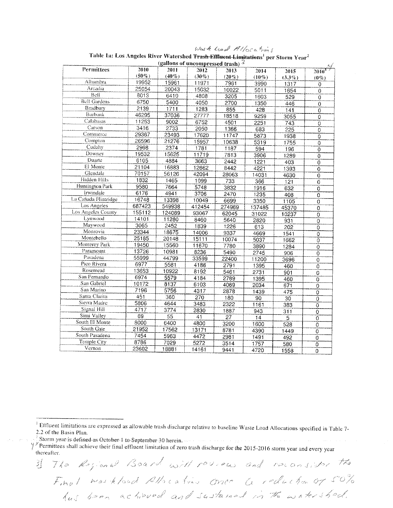Waste Load Allocations

| (gallons of uncompressed trash) $\mathcal{L}$ |          |                 |          |                 |                 |                 |                           |  |  |  |  |  |
|-----------------------------------------------|----------|-----------------|----------|-----------------|-----------------|-----------------|---------------------------|--|--|--|--|--|
| Permittees                                    | 2010     | 2011            | 2012     | 2013            | 2014            | 2015            | 2016                      |  |  |  |  |  |
|                                               | $(50\%)$ | $(40\%)$        | $(30\%)$ | $(20\%)$        | $(10\%)$        | $(3.3\%)$       | $(0\%)$                   |  |  |  |  |  |
| Alhambra                                      | 19952    | 15961           | 11971    | 7981            | 3990            | 1317            | $\circ$                   |  |  |  |  |  |
| Arcadia                                       | 25054    | 20043           | 15032    | 10022           | 5011            | 1654            | $\overline{0}$            |  |  |  |  |  |
| Bell                                          | 8013     | 6410            | 4808     | 3205            | 1603            | 529             | 0                         |  |  |  |  |  |
| <b>Bell Gardens</b>                           | 6750     | 5400            | 4050     | 2700            | 1350            | 446             | $\mathbf 0$               |  |  |  |  |  |
| Bradbury                                      | 2139     | 1711            | 1283     | 855             | 428             | 141             | $\overline{\overline{o}}$ |  |  |  |  |  |
| Burbank                                       | 46295    | 37036           | 27777    | 18518           | 9259            | 3055            | $\overline{0}$            |  |  |  |  |  |
| Calabasas                                     | 11253    | 9002            | 6752     | 4501            | 2251            | 743             | $\overline{0}$            |  |  |  |  |  |
| Carson                                        | 3416     | 2733            | 2050     | 1366            | 683             | 225             | $\mathsf{O}\xspace$       |  |  |  |  |  |
| Commerce                                      | 29367    | 23493           | 17620    | 11747           | 5873            | 1938            | 0                         |  |  |  |  |  |
| Compton                                       | 26596    | 21276           | 15957    | 10638           | 5319            | 1755            | $\overline{0}$            |  |  |  |  |  |
| Cudahy                                        | 2968     | 2374            | 1781     | 1187            | 594             | 196             | $\overline{0}$            |  |  |  |  |  |
| Downey                                        | 19532    | 15625           | 11719    | 7813            | 3906            | 1289            | $\boldsymbol{0}$          |  |  |  |  |  |
| Duarte                                        | 6105     | 4884            | 3663     | 2442            | 1221            | 403             | $\theta$                  |  |  |  |  |  |
| El Monte                                      | 21104    | 16883           | 12662    | 8442            | 4221            | 1393            | $\theta$                  |  |  |  |  |  |
| Glendale                                      | 70157    | 56126           | 42094    | 28063           | 14031           | 4630            | $\overline{0}$            |  |  |  |  |  |
| Hidden Hills                                  | 1832     | 1465            | 1099     | 733             | 366             | 121             | $\overline{0}$            |  |  |  |  |  |
| Huntington Park                               | 9580     | 7664            | 5748     | 3832            | 1916            | 632             | $\overline{\mathfrak{o}}$ |  |  |  |  |  |
| Irwindale                                     | 6176     | 4941            | 3706     | 2470            | 1235            | 408             | $\mathbf 0$               |  |  |  |  |  |
| La Cañada Flintridge                          | 16748    | 13398           | 10049    | 6699            | 3350            | 1105            | $\sigma$                  |  |  |  |  |  |
| Los Angeles                                   | 687423   | 549938          | 412454   | 274969          | 137485          | 45370           | $\overline{0}$            |  |  |  |  |  |
| Los Angeles County                            | 155112   | 124089          | 93067    | 62045           | 31022           | 10237           | 0                         |  |  |  |  |  |
| Lynwood                                       | 14101    | 11280           | 8460     | 5640            | 2820            | 931             | 0                         |  |  |  |  |  |
| Maywood                                       | 3065     | 2452            | 1839     | 1226            | 613             | 202             | 0                         |  |  |  |  |  |
| Monrovia                                      | 23344    | 18675           | 14006    | 9337            | 4669            | 1541            | 0                         |  |  |  |  |  |
| Montebello                                    | 25185    | 20148           | 15111    | 10074           | 5037            | 1662            | $\mathbb O$               |  |  |  |  |  |
| Monterey Park                                 | 19450    | 15560           | 11670    | 7780            | 3890            | 1284            | $\overline{0}$            |  |  |  |  |  |
| Paramount                                     | 13726    | 10981           | 8236     | 5490            | 2745            | 906             | $\mathbf 0$               |  |  |  |  |  |
| Pasadena                                      | 55999    | 44799           | 33599    | 22400           | 11200           | 3696            | $\mathbf 0$               |  |  |  |  |  |
| Pico Rivera                                   | 6977     | 5581            | 4186     | 2791            | 1395            | 460             | 0                         |  |  |  |  |  |
| Rosemead                                      | 13653    | 10922           | 8192     | 5461            | 2731            | 901             | 0                         |  |  |  |  |  |
| San Fernando                                  | 6974     | 5579            | 4184     | 2789            | 1395            | 460             | $\overline{0}$            |  |  |  |  |  |
| San Gabriel                                   | 10172    | 8137            | 6103     | 4069            | 2034            | 671             | 0                         |  |  |  |  |  |
| San Marino                                    | 7196     | 5756            | 4317     | 2878            | 1439            | 475             | 0                         |  |  |  |  |  |
| Santa Clarita                                 | 451      | 360             | 270      | 180             | $\overline{90}$ | $\overline{30}$ | $\overline{0}$            |  |  |  |  |  |
| Sierra Madre                                  | 5806     | 4644            | 3483     | 2322            | 1161            | 383             | ō                         |  |  |  |  |  |
| Signal Hill                                   | 4717     | 3774            | 2830     | 1887            | 943             | 311             | 0                         |  |  |  |  |  |
| Simi Valley                                   | 69       | $\overline{55}$ | 41       | $\overline{27}$ | 14              | $\overline{5}$  | $\overline{0}$            |  |  |  |  |  |
| South El Monte                                | 8000     | 6400            | 4800     | 3200            | 1600            | 528             | 0                         |  |  |  |  |  |
| South Gate                                    | 21952    | 17562           | 13171    | 8781            | 4390            | 1449            | 0                         |  |  |  |  |  |
| South Pasadena                                | 7454     | 5963            | 4472     | 2981            | 1491            | 492             | $\overline{0}$            |  |  |  |  |  |
| Temple City                                   | 8786     | 7029            | 5272     | 3514            | 1757            | 580             | $\overline{\mathfrak{o}}$ |  |  |  |  |  |
| Vernon                                        | 23602    | 18881           | 14161    | 9441            | 4720            | 1558            | $\overline{0}$            |  |  |  |  |  |
|                                               |          |                 |          |                 |                 |                 |                           |  |  |  |  |  |

Table 1a: Los Angeles River Watershed Trash-Effluent Limitations<sup>1</sup> per Storm Year<sup>2</sup>

Storm year-is defined as October-1 to-September 30 herein.

y Permittees shall achieve their final effluent limitation of zero trash discharge for the 2015-2016 storm year and every year thereafter.

3) The Regional Board will review and reconsider the Final was kloud Allocations once a reduction of 50% has been actived and sustained in the watershed.

<sup>&</sup>lt;sup>1</sup> Effluent limitations are expressed as allowable trash discharge relative to baseline Waste Load Allocations specified in Table 7-2.2 of the Basin Plan.